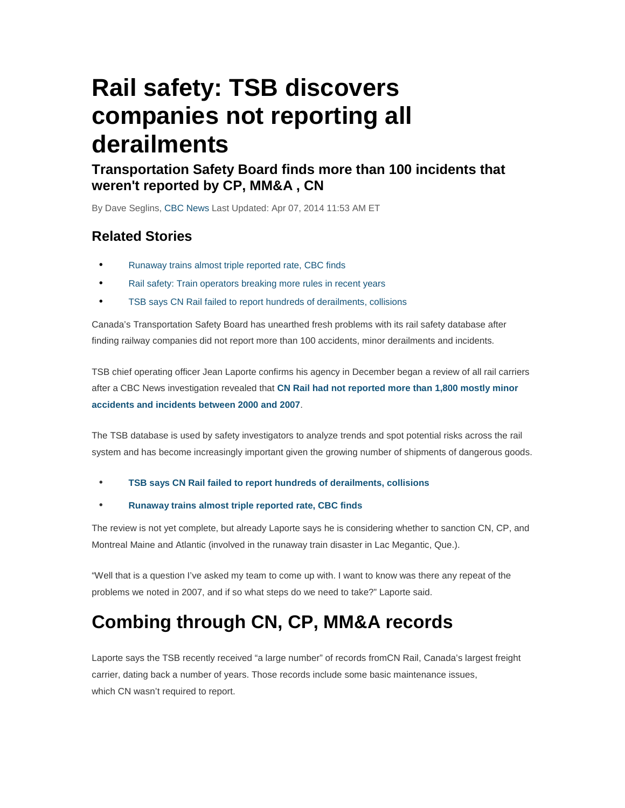# **Rail safety: TSB discovers companies not reporting all derailments**

### **Transportation Safety Board finds more than 100 incidents that weren't reported by CP, MM&A , CN**

By Dave Seglins, CBC News Last Updated: Apr 07, 2014 11:53 AM ET

### **Related Stories**

- Runaway trains almost triple reported rate, CBC finds
- Rail safety: Train operators breaking more rules in recent years
- TSB says CN Rail failed to report hundreds of derailments, collisions

Canada's Transportation Safety Board has unearthed fresh problems with its rail safety database after finding railway companies did not report more than 100 accidents, minor derailments and incidents.

TSB chief operating officer Jean Laporte confirms his agency in December began a review of all rail carriers after a CBC News investigation revealed that **CN Rail had not reported more than 1,800 mostly minor accidents and incidents between 2000 and 2007**.

The TSB database is used by safety investigators to analyze trends and spot potential risks across the rail system and has become increasingly important given the growing number of shipments of dangerous goods.

#### • **TSB says CN Rail failed to report hundreds of derailments, collisions**

#### • **Runaway trains almost triple reported rate, CBC finds**

The review is not yet complete, but already Laporte says he is considering whether to sanction CN, CP, and Montreal Maine and Atlantic (involved in the runaway train disaster in Lac Megantic, Que.).

"Well that is a question I've asked my team to come up with. I want to know was there any repeat of the problems we noted in 2007, and if so what steps do we need to take?" Laporte said.

# **Combing through CN, CP, MM&A records**

Laporte says the TSB recently received "a large number" of records fromCN Rail, Canada's largest freight carrier, dating back a number of years. Those records include some basic maintenance issues, which CN wasn't required to report.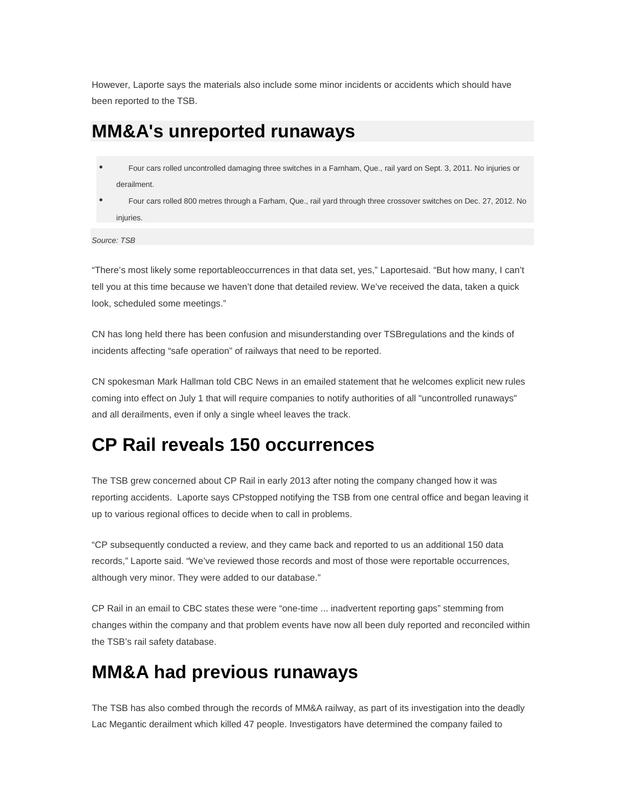However, Laporte says the materials also include some minor incidents or accidents which should have been reported to the TSB.

### **MM&A's unreported runaways**

- Four cars rolled uncontrolled damaging three switches in a Farnham, Que., rail yard on Sept. 3, 2011. No injuries or derailment.
- Four cars rolled 800 metres through a Farham, Que., rail yard through three crossover switches on Dec. 27, 2012. No injuries.

Source: TSB

"There's most likely some reportableoccurrences in that data set, yes," Laportesaid. "But how many, I can't tell you at this time because we haven't done that detailed review. We've received the data, taken a quick look, scheduled some meetings."

CN has long held there has been confusion and misunderstanding over TSBregulations and the kinds of incidents affecting "safe operation" of railways that need to be reported.

CN spokesman Mark Hallman told CBC News in an emailed statement that he welcomes explicit new rules coming into effect on July 1 that will require companies to notify authorities of all "uncontrolled runaways" and all derailments, even if only a single wheel leaves the track.

### **CP Rail reveals 150 occurrences**

The TSB grew concerned about CP Rail in early 2013 after noting the company changed how it was reporting accidents. Laporte says CPstopped notifying the TSB from one central office and began leaving it up to various regional offices to decide when to call in problems.

"CP subsequently conducted a review, and they came back and reported to us an additional 150 data records," Laporte said. "We've reviewed those records and most of those were reportable occurrences, although very minor. They were added to our database."

CP Rail in an email to CBC states these were "one-time ... inadvertent reporting gaps" stemming from changes within the company and that problem events have now all been duly reported and reconciled within the TSB's rail safety database.

## **MM&A had previous runaways**

The TSB has also combed through the records of MM&A railway, as part of its investigation into the deadly Lac Megantic derailment which killed 47 people. Investigators have determined the company failed to